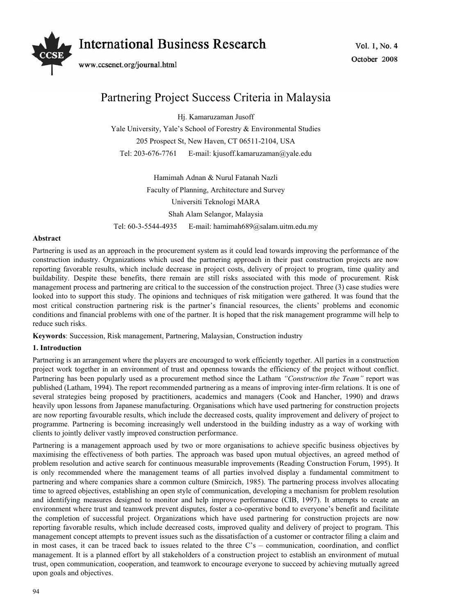# **International Business Research**



www.ccsenet.org/journal.html

### Partnering Project Success Criteria in Malaysia

Hj. Kamaruzaman Jusoff

Yale University, Yale's School of Forestry & Environmental Studies 205 Prospect St, New Haven, CT 06511-2104, USA Tel: 203-676-7761 E-mail: kjusoff.kamaruzaman@yale.edu

Hamimah Adnan & Nurul Fatanah Nazli Faculty of Planning, Architecture and Survey Universiti Teknologi MARA Shah Alam Selangor, Malaysia Tel: 60-3-5544-4935 E-mail: hamimah689@salam.uitm.edu.my

#### **Abstract**

Partnering is used as an approach in the procurement system as it could lead towards improving the performance of the construction industry. Organizations which used the partnering approach in their past construction projects are now reporting favorable results, which include decrease in project costs, delivery of project to program, time quality and buildability. Despite these benefits, there remain are still risks associated with this mode of procurement. Risk management process and partnering are critical to the succession of the construction project. Three (3) case studies were looked into to support this study. The opinions and techniques of risk mitigation were gathered. It was found that the most critical construction partnering risk is the partner's financial resources, the clients' problems and economic conditions and financial problems with one of the partner. It is hoped that the risk management programme will help to reduce such risks.

**Keywords**: Succession, Risk management, Partnering, Malaysian, Construction industry

#### **1. Introduction**

Partnering is an arrangement where the players are encouraged to work efficiently together. All parties in a construction project work together in an environment of trust and openness towards the efficiency of the project without conflict. Partnering has been popularly used as a procurement method since the Latham *"Construction the Team"* report was published (Latham, 1994). The report recommended partnering as a means of improving inter-firm relations. It is one of several strategies being proposed by practitioners, academics and managers (Cook and Hancher, 1990) and draws heavily upon lessons from Japanese manufacturing. Organisations which have used partnering for construction projects are now reporting favourable results, which include the decreased costs, quality improvement and delivery of project to programme. Partnering is becoming increasingly well understood in the building industry as a way of working with clients to jointly deliver vastly improved construction performance.

Partnering is a management approach used by two or more organisations to achieve specific business objectives by maximising the effectiveness of both parties. The approach was based upon mutual objectives, an agreed method of problem resolution and active search for continuous measurable improvements (Reading Construction Forum, 1995). It is only recommended where the management teams of all parties involved display a fundamental commitment to partnering and where companies share a common culture (Smircich, 1985). The partnering process involves allocating time to agreed objectives, establishing an open style of communication, developing a mechanism for problem resolution and identifying measures designed to monitor and help improve performance (CIB, 1997). It attempts to create an environment where trust and teamwork prevent disputes, foster a co-operative bond to everyone's benefit and facilitate the completion of successful project. Organizations which have used partnering for construction projects are now reporting favorable results, which include decreased costs, improved quality and delivery of project to program. This management concept attempts to prevent issues such as the dissatisfaction of a customer or contractor filing a claim and in most cases, it can be traced back to issues related to the three C's – communication, coordination, and conflict management. It is a planned effort by all stakeholders of a construction project to establish an environment of mutual trust, open communication, cooperation, and teamwork to encourage everyone to succeed by achieving mutually agreed upon goals and objectives.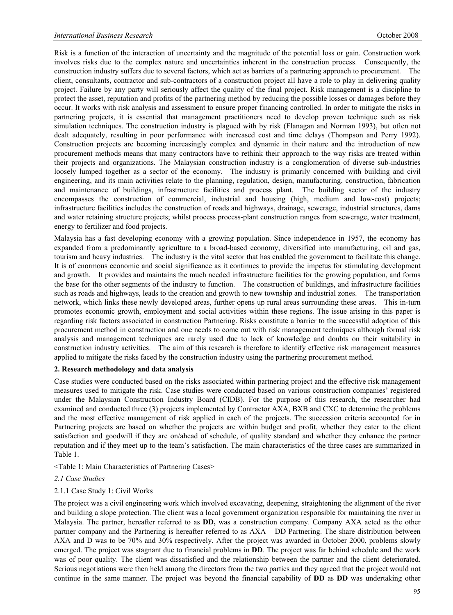Risk is a function of the interaction of uncertainty and the magnitude of the potential loss or gain. Construction work involves risks due to the complex nature and uncertainties inherent in the construction process. Consequently, the construction industry suffers due to several factors, which act as barriers of a partnering approach to procurement. The client, consultants, contractor and sub-contractors of a construction project all have a role to play in delivering quality project. Failure by any party will seriously affect the quality of the final project. Risk management is a discipline to protect the asset, reputation and profits of the partnering method by reducing the possible losses or damages before they occur. It works with risk analysis and assessment to ensure proper financing controlled. In order to mitigate the risks in partnering projects, it is essential that management practitioners need to develop proven technique such as risk simulation techniques. The construction industry is plagued with by risk (Flanagan and Norman 1993), but often not dealt adequately, resulting in poor performance with increased cost and time delays (Thompson and Perry 1992). Construction projects are becoming increasingly complex and dynamic in their nature and the introduction of new procurement methods means that many contractors have to rethink their approach to the way risks are treated within their projects and organizations. The Malaysian construction industry is a conglomeration of diverse sub-industries loosely lumped together as a sector of the economy. The industry is primarily concerned with building and civil engineering, and its main activities relate to the planning, regulation, design, manufacturing, construction, fabrication and maintenance of buildings, infrastructure facilities and process plant. The building sector of the industry encompasses the construction of commercial, industrial and housing (high, medium and low-cost) projects; infrastructure facilities includes the construction of roads and highways, drainage, sewerage, industrial structures, dams and water retaining structure projects; whilst process process-plant construction ranges from sewerage, water treatment, energy to fertilizer and food projects.

Malaysia has a fast developing economy with a growing population. Since independence in 1957, the economy has expanded from a predominantly agriculture to a broad-based economy, diversified into manufacturing, oil and gas, tourism and heavy industries. The industry is the vital sector that has enabled the government to facilitate this change. It is of enormous economic and social significance as it continues to provide the impetus for stimulating development and growth. It provides and maintains the much needed infrastructure facilities for the growing population, and forms the base for the other segments of the industry to function. The construction of buildings, and infrastructure facilities such as roads and highways, leads to the creation and growth to new township and industrial zones. The transportation network, which links these newly developed areas, further opens up rural areas surrounding these areas. This in-turn promotes economic growth, employment and social activities within these regions. The issue arising in this paper is regarding risk factors associated in construction Partnering. Risks constitute a barrier to the successful adoption of this procurement method in construction and one needs to come out with risk management techniques although formal risk analysis and management techniques are rarely used due to lack of knowledge and doubts on their suitability in construction industry activities. The aim of this research is therefore to identify effective risk management measures applied to mitigate the risks faced by the construction industry using the partnering procurement method.

#### **2. Research methodology and data analysis**

Case studies were conducted based on the risks associated within partnering project and the effective risk management measures used to mitigate the risk. Case studies were conducted based on various construction companies' registered under the Malaysian Construction Industry Board (CIDB). For the purpose of this research, the researcher had examined and conducted three (3) projects implemented by Contractor AXA, BXB and CXC to determine the problems and the most effective management of risk applied in each of the projects. The succession criteria accounted for in Partnering projects are based on whether the projects are within budget and profit, whether they cater to the client satisfaction and goodwill if they are on/ahead of schedule, of quality standard and whether they enhance the partner reputation and if they meet up to the team's satisfaction. The main characteristics of the three cases are summarized in Table 1.

<Table 1: Main Characteristics of Partnering Cases>

#### *2.1 Case Studies*

#### 2.1.1 Case Study 1: Civil Works

The project was a civil engineering work which involved excavating, deepening, straightening the alignment of the river and building a slope protection. The client was a local government organization responsible for maintaining the river in Malaysia. The partner, hereafter referred to as **DD,** was a construction company. Company AXA acted as the other partner company and the Partnering is hereafter referred to as AXA – DD Partnering. The share distribution between AXA and D was to be 70% and 30% respectively. After the project was awarded in October 2000, problems slowly emerged. The project was stagnant due to financial problems in **DD**. The project was far behind schedule and the work was of poor quality. The client was dissatisfied and the relationship between the partner and the client deteriorated. Serious negotiations were then held among the directors from the two parties and they agreed that the project would not continue in the same manner. The project was beyond the financial capability of **DD** as **DD** was undertaking other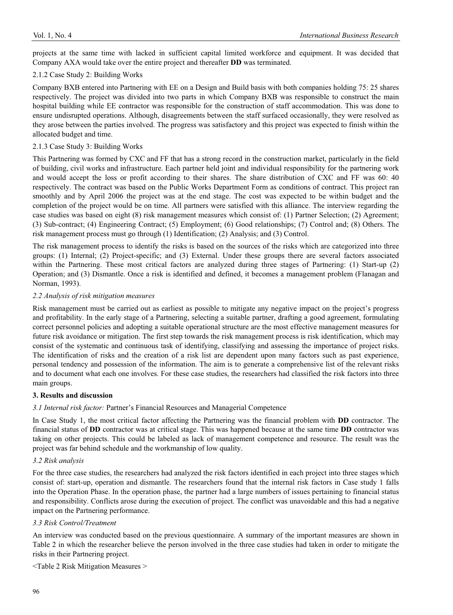projects at the same time with lacked in sufficient capital limited workforce and equipment. It was decided that Company AXA would take over the entire project and thereafter **DD** was terminated.

#### 2.1.2 Case Study 2: Building Works

Company BXB entered into Partnering with EE on a Design and Build basis with both companies holding 75: 25 shares respectively. The project was divided into two parts in which Company BXB was responsible to construct the main hospital building while EE contractor was responsible for the construction of staff accommodation. This was done to ensure undisrupted operations. Although, disagreements between the staff surfaced occasionally, they were resolved as they arose between the parties involved. The progress was satisfactory and this project was expected to finish within the allocated budget and time.

#### 2.1.3 Case Study 3: Building Works

This Partnering was formed by CXC and FF that has a strong record in the construction market, particularly in the field of building, civil works and infrastructure. Each partner held joint and individual responsibility for the partnering work and would accept the loss or profit according to their shares. The share distribution of CXC and FF was 60: 40 respectively. The contract was based on the Public Works Department Form as conditions of contract. This project ran smoothly and by April 2006 the project was at the end stage. The cost was expected to be within budget and the completion of the project would be on time. All partners were satisfied with this alliance. The interview regarding the case studies was based on eight (8) risk management measures which consist of: (1) Partner Selection; (2) Agreement; (3) Sub-contract; (4) Engineering Contract; (5) Employment; (6) Good relationships; (7) Control and; (8) Others. The risk management process must go through (1) Identification; (2) Analysis; and (3) Control.

The risk management process to identify the risks is based on the sources of the risks which are categorized into three groups: (1) Internal; (2) Project-specific; and (3) External. Under these groups there are several factors associated within the Partnering. These most critical factors are analyzed during three stages of Partnering: (1) Start-up (2) Operation; and (3) Dismantle. Once a risk is identified and defined, it becomes a management problem (Flanagan and Norman, 1993).

#### *2.2 Analysis of risk mitigation measures*

Risk management must be carried out as earliest as possible to mitigate any negative impact on the project's progress and profitability. In the early stage of a Partnering, selecting a suitable partner, drafting a good agreement, formulating correct personnel policies and adopting a suitable operational structure are the most effective management measures for future risk avoidance or mitigation. The first step towards the risk management process is risk identification, which may consist of the systematic and continuous task of identifying, classifying and assessing the importance of project risks. The identification of risks and the creation of a risk list are dependent upon many factors such as past experience, personal tendency and possession of the information. The aim is to generate a comprehensive list of the relevant risks and to document what each one involves. For these case studies, the researchers had classified the risk factors into three main groups.

#### **3. Results and discussion**

#### *3.1 Internal risk factor:* Partner's Financial Resources and Managerial Competence

In Case Study 1, the most critical factor affecting the Partnering was the financial problem with **DD** contractor. The financial status of **DD** contractor was at critical stage. This was happened because at the same time **DD** contractor was taking on other projects. This could be labeled as lack of management competence and resource. The result was the project was far behind schedule and the workmanship of low quality.

#### *3.2 Risk analysis*

For the three case studies, the researchers had analyzed the risk factors identified in each project into three stages which consist of: start-up, operation and dismantle. The researchers found that the internal risk factors in Case study 1 falls into the Operation Phase. In the operation phase, the partner had a large numbers of issues pertaining to financial status and responsibility. Conflicts arose during the execution of project. The conflict was unavoidable and this had a negative impact on the Partnering performance.

#### *3.3 Risk Control/Treatment*

An interview was conducted based on the previous questionnaire. A summary of the important measures are shown in Table 2 in which the researcher believe the person involved in the three case studies had taken in order to mitigate the risks in their Partnering project.

<Table 2 Risk Mitigation Measures >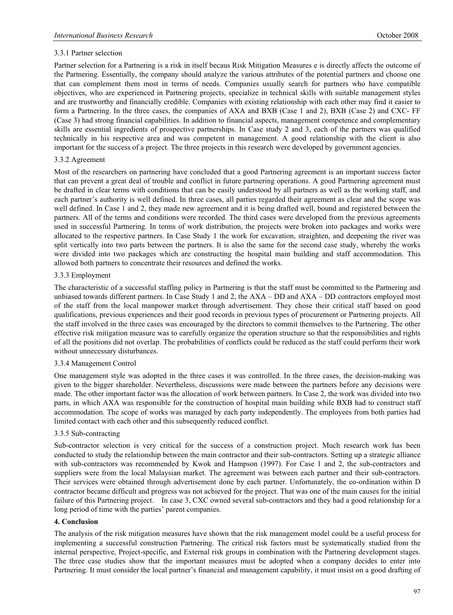#### 3.3.1 Partner selection

Partner selection for a Partnering is a risk in itself becaus Risk Mitigation Measures e is directly affects the outcome of the Partnering. Essentially, the company should analyze the various attributes of the potential partners and choose one that can complement them most in terms of needs. Companies usually search for partners who have compatible objectives, who are experienced in Partnering projects, specialize in technical skills with suitable management styles and are trustworthy and financially credible. Companies with existing relationship with each other may find it easier to form a Partnering. In the three cases, the companies of AXA and BXB (Case 1 and 2), BXB (Case 2) and CXC- FF (Case 3) had strong financial capabilities. In addition to financial aspects, management competence and complementary skills are essential ingredients of prospective partnerships. In Case study 2 and 3, each of the partners was qualified technically in his respective area and was competent in management. A good relationship with the client is also important for the success of a project. The three projects in this research were developed by government agencies.

#### 3.3.2 Agreement

Most of the researchers on partnering have concluded that a good Partnering agreement is an important success factor that can prevent a great deal of trouble and conflict in future partnering operations. A good Partnering agreement must be drafted in clear terms with conditions that can be easily understood by all partners as well as the working staff, and each partner's authority is well defined. In three cases, all parties regarded their agreement as clear and the scope was well defined. In Case 1 and 2, they made new agreement and it is being drafted well, bound and registered between the partners. All of the terms and conditions were recorded. The third cases were developed from the previous agreements used in successful Partnering. In terms of work distribution, the projects were broken into packages and works were allocated to the respective partners. In Case Study 1 the work for excavation, straighten, and deepening the river was split vertically into two parts between the partners. It is also the same for the second case study, whereby the works were divided into two packages which are constructing the hospital main building and staff accommodation. This allowed both partners to concentrate their resources and defined the works.

#### 3.3.3 Employment

The characteristic of a successful staffing policy in Partnering is that the staff must be committed to the Partnering and unbiased towards different partners. In Case Study 1 and 2, the AXA – DD and AXA – DD contractors employed most of the staff from the local manpower market through advertisement. They chose their critical staff based on good qualifications, previous experiences and their good records in previous types of procurement or Partnering projects. All the staff involved in the three cases was encouraged by the directors to commit themselves to the Partnering. The other effective risk mitigation measure was to carefully organize the operation structure so that the responsibilities and rights of all the positions did not overlap. The probabilities of conflicts could be reduced as the staff could perform their work without unnecessary disturbances.

#### 3.3.4 Management Control

One management style was adopted in the three cases it was controlled. In the three cases, the decision-making was given to the bigger shareholder. Nevertheless, discussions were made between the partners before any decisions were made. The other important factor was the allocation of work between partners. In Case 2, the work was divided into two parts, in which AXA was responsible for the construction of hospital main building while BXB had to construct staff accommodation. The scope of works was managed by each party independently. The employees from both parties had limited contact with each other and this subsequently reduced conflict.

#### 3.3.5 Sub-contracting

Sub-contractor selection is very critical for the success of a construction project. Much research work has been conducted to study the relationship between the main contractor and their sub-contractors. Setting up a strategic alliance with sub-contractors was recommended by Kwok and Hampson (1997). For Case 1 and 2, the sub-contractors and suppliers were from the local Malaysian market. The agreement was between each partner and their sub-contractors. Their services were obtained through advertisement done by each partner. Unfortunately, the co-ordination within D contractor became difficult and progress was not achieved for the project. That was one of the main causes for the initial failure of this Partnering project. In case 3, CXC owned several sub-contractors and they had a good relationship for a long period of time with the parties' parent companies.

#### **4. Conclusion**

The analysis of the risk mitigation measures have shown that the risk management model could be a useful process for implementing a successful construction Partnering. The critical risk factors must be systematically studied from the internal perspective, Project-specific, and External risk groups in combination with the Partnering development stages. The three case studies show that the important measures must be adopted when a company decides to enter into Partnering. It must consider the local partner's financial and management capability, it must insist on a good drafting of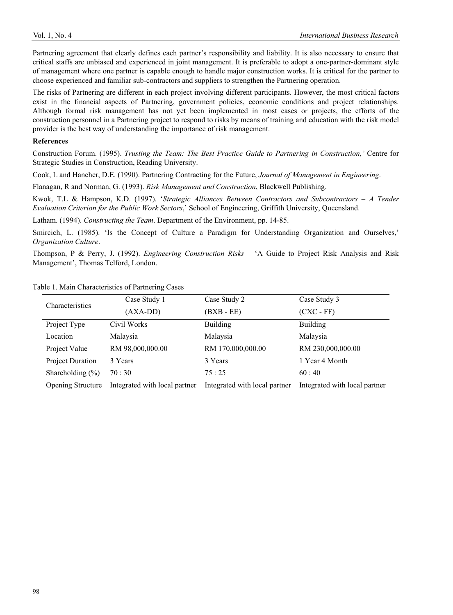Partnering agreement that clearly defines each partner's responsibility and liability. It is also necessary to ensure that critical staffs are unbiased and experienced in joint management. It is preferable to adopt a one-partner-dominant style of management where one partner is capable enough to handle major construction works. It is critical for the partner to choose experienced and familiar sub-contractors and suppliers to strengthen the Partnering operation.

The risks of Partnering are different in each project involving different participants. However, the most critical factors exist in the financial aspects of Partnering, government policies, economic conditions and project relationships. Although formal risk management has not yet been implemented in most cases or projects, the efforts of the construction personnel in a Partnering project to respond to risks by means of training and education with the risk model provider is the best way of understanding the importance of risk management.

#### **References**

Construction Forum. (1995). *Trusting the Team: The Best Practice Guide to Partnering in Construction,'* Centre for Strategic Studies in Construction, Reading University.

Cook, L and Hancher, D.E. (1990). Partnering Contracting for the Future, *Journal of Management in Engineering*.

Flanagan, R and Norman, G. (1993). *Risk Management and Construction*, Blackwell Publishing.

Kwok, T.L & Hampson, K.D. (1997). '*Strategic Alliances Between Contractors and Subcontractors – A Tender Evaluation Criterion for the Public Work Sectors*,' School of Engineering, Griffith University, Queensland.

Latham. (1994). *Constructing the Team*. Department of the Environment, pp. 14-85.

Smircich, L. (1985). 'Is the Concept of Culture a Paradigm for Understanding Organization and Ourselves,' *Organization Culture*.

Thompson, P & Perry, J. (1992). *Engineering Construction Risks* – 'A Guide to Project Risk Analysis and Risk Management', Thomas Telford, London.

| Characteristics          | Case Study 1                  | Case Study 2<br>$(BXB - EE)$<br><b>Building</b><br>Malaysia | Case Study 3                  |
|--------------------------|-------------------------------|-------------------------------------------------------------|-------------------------------|
|                          | $(AXA-DD)$                    |                                                             | $(CXC - FF)$                  |
| Project Type             | Civil Works                   |                                                             | <b>Building</b>               |
| Location                 | Malaysia                      |                                                             | Malaysia                      |
| Project Value            | RM 98,000,000.00              | RM 170,000,000.00                                           | RM 230,000,000.00             |
| <b>Project Duration</b>  | 3 Years                       | 3 Years                                                     | 1 Year 4 Month                |
| Shareholding $(\% )$     | 70:30                         | 75:25                                                       | 60:40                         |
| <b>Opening Structure</b> | Integrated with local partner | Integrated with local partner                               | Integrated with local partner |

Table 1. Main Characteristics of Partnering Cases